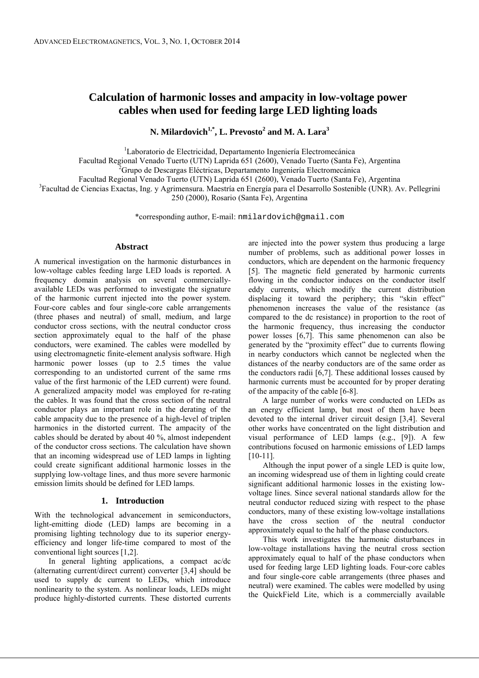# **Calculation of harmonic losses and ampacity in low-voltage power cables when used for feeding large LED lighting loads**

**N. Milardovich1,\*, L. Prevosto<sup>2</sup> and M. A. Lara<sup>3</sup>**

<sup>1</sup>Laboratorio de Electricidad, Departamento Ingeniería Electromecánica

Facultad Regional Venado Tuerto (UTN) Laprida 651 (2600), Venado Tuerto (Santa Fe), Argentina

<sup>2</sup>Grupo de Descargas Eléctricas, Departamento Ingeniería Electromecánica

Facultad Regional Venado Tuerto (UTN) Laprida 651 (2600), Venado Tuerto (Santa Fe), Argentina

<sup>3</sup> Facultad de Ciencias Exactas, Ing. y Agrimensura. Maestría en Energía para el Desarrollo Sostenible (UNR). Av. Pellegrini

250 (2000), Rosario (Santa Fe), Argentina

\*corresponding author, E-mail: nmilardovich@gmail.com

# **Abstract**

A numerical investigation on the harmonic disturbances in low-voltage cables feeding large LED loads is reported. A frequency domain analysis on several commerciallyavailable LEDs was performed to investigate the signature of the harmonic current injected into the power system. Four-core cables and four single-core cable arrangements (three phases and neutral) of small, medium, and large conductor cross sections, with the neutral conductor cross section approximately equal to the half of the phase conductors, were examined. The cables were modelled by using electromagnetic finite-element analysis software. High harmonic power losses (up to 2.5 times the value corresponding to an undistorted current of the same rms value of the first harmonic of the LED current) were found. A generalized ampacity model was employed for re-rating the cables. It was found that the cross section of the neutral conductor plays an important role in the derating of the cable ampacity due to the presence of a high-level of triplen harmonics in the distorted current. The ampacity of the cables should be derated by about 40 %, almost independent of the conductor cross sections. The calculation have shown that an incoming widespread use of LED lamps in lighting could create significant additional harmonic losses in the supplying low-voltage lines, and thus more severe harmonic emission limits should be defined for LED lamps.

### **1. Introduction**

With the technological advancement in semiconductors, light-emitting diode (LED) lamps are becoming in a promising lighting technology due to its superior energyefficiency and longer life-time compared to most of the conventional light sources [1,2].

In general lighting applications, a compact ac/dc (alternating current/direct current) converter [3,4] should be used to supply dc current to LEDs, which introduce nonlinearity to the system. As nonlinear loads, LEDs might produce highly-distorted currents. These distorted currents are injected into the power system thus producing a large number of problems, such as additional power losses in conductors, which are dependent on the harmonic frequency [5]. The magnetic field generated by harmonic currents flowing in the conductor induces on the conductor itself eddy currents, which modify the current distribution displacing it toward the periphery; this "skin effect" phenomenon increases the value of the resistance (as compared to the dc resistance) in proportion to the root of the harmonic frequency, thus increasing the conductor power losses [6,7]. This same phenomenon can also be generated by the "proximity effect" due to currents flowing in nearby conductors which cannot be neglected when the distances of the nearby conductors are of the same order as the conductors radii [6,7]. These additional losses caused by harmonic currents must be accounted for by proper derating of the ampacity of the cable [6-8].

A large number of works were conducted on LEDs as an energy efficient lamp, but most of them have been devoted to the internal driver circuit design [3,4]. Several other works have concentrated on the light distribution and visual performance of LED lamps (e.g., [9]). A few contributions focused on harmonic emissions of LED lamps [10-11].

Although the input power of a single LED is quite low, an incoming widespread use of them in lighting could create significant additional harmonic losses in the existing lowvoltage lines. Since several national standards allow for the neutral conductor reduced sizing with respect to the phase conductors, many of these existing low-voltage installations have the cross section of the neutral conductor approximately equal to the half of the phase conductors.

This work investigates the harmonic disturbances in low-voltage installations having the neutral cross section approximately equal to half of the phase conductors when used for feeding large LED lighting loads. Four-core cables and four single-core cable arrangements (three phases and neutral) were examined. The cables were modelled by using the QuickField Lite, which is a commercially available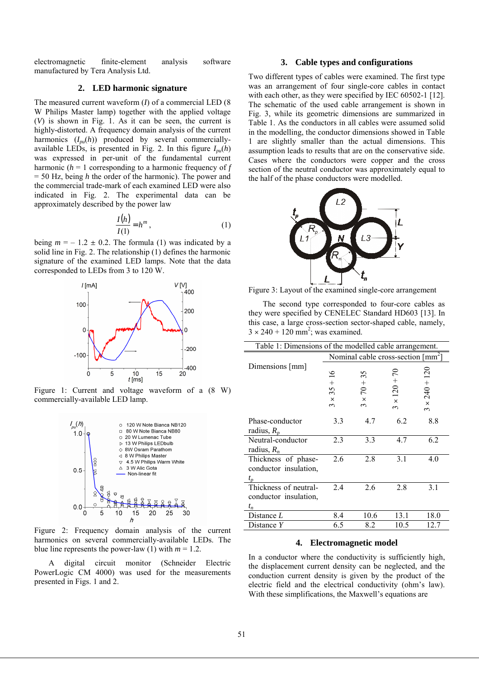electromagnetic finite-element analysis software manufactured by Tera Analysis Ltd.

# **2. LED harmonic signature**

The measured current waveform (*I*) of a commercial LED (8 W Philips Master lamp) together with the applied voltage (*V*) is shown in Fig. 1. As it can be seen, the current is highly-distorted. A frequency domain analysis of the current harmonics  $(I_{pu}(h))$  produced by several commerciallyavailable LEDs, is presented in Fig. 2. In this figure  $I_{pu}(h)$ was expressed in per-unit of the fundamental current harmonic (*h* = 1 corresponding to a harmonic frequency of *f* = 50 Hz, being *h* the order of the harmonic). The power and the commercial trade-mark of each examined LED were also indicated in Fig. 2. The experimental data can be approximately described by the power law

$$
\frac{I(h)}{I(1)} = h^m,
$$
\n(1)

being  $m = -1.2 \pm 0.2$ . The formula (1) was indicated by a solid line in Fig. 2. The relationship (1) defines the harmonic signature of the examined LED lamps. Note that the data corresponded to LEDs from 3 to 120 W.



Figure 1: Current and voltage waveform of a  $(8 \text{ W})$ commercially-available LED lamp.



Figure 2: Frequency domain analysis of the current harmonics on several commercially-available LEDs. The blue line represents the power-law (1) with  $m = 1.2$ .

A digital circuit monitor (Schneider Electric PowerLogic CM 4000) was used for the measurements presented in Figs. 1 and 2.

# **3. Cable types and configurations**

Two different types of cables were examined. The first type was an arrangement of four single-core cables in contact with each other, as they were specified by IEC 60502-1 [12]. The schematic of the used cable arrangement is shown in Fig. 3, while its geometric dimensions are summarized in Table 1. As the conductors in all cables were assumed solid in the modelling, the conductor dimensions showed in Table 1 are slightly smaller than the actual dimensions. This assumption leads to results that are on the conservative side. Cases where the conductors were copper and the cross section of the neutral conductor was approximately equal to the half of the phase conductors were modelled.



Figure 3: Layout of the examined single-core arrangement

The second type corresponded to four-core cables as they were specified by CENELEC Standard HD603 [13]. In this case, a large cross-section sector-shaped cable, namely,  $3 \times 240 + 120$  mm<sup>2</sup>; was examined.

| Table 1: Dimensions of the modelled cable arrangement.  |                                                                     |                                           |                                       |                                   |  |
|---------------------------------------------------------|---------------------------------------------------------------------|-------------------------------------------|---------------------------------------|-----------------------------------|--|
|                                                         | Nominal cable cross-section $\lceil \text{mm}^2 \rceil$             |                                           |                                       |                                   |  |
| Dimensions [mm]                                         | ७<br>$\overline{\phantom{0}}$<br>$^{+}$<br>35<br>$\times$<br>$\sim$ | 5<br>$\sim$<br>$+0$<br>$\times$<br>$\sim$ | $120 +$<br>$\mathbf{x}$<br>$\epsilon$ | $240 + 120$<br>$\times$<br>$\sim$ |  |
| Phase-conductor<br>radius, $R_p$                        | 3.3                                                                 | 4.7                                       | 6.2                                   | 8.8                               |  |
| Neutral-conductor<br>radius, $R_n$                      | 2.3                                                                 | 3.3                                       | 4.7                                   | 6.2                               |  |
| Thickness of phase-<br>conductor insulation,<br>$t_{p}$ | 2.6                                                                 | 2.8                                       | 3.1                                   | 4.0                               |  |
| Thickness of neutral-<br>conductor insulation,<br>$t_n$ | 2.4                                                                 | 2.6                                       | 2.8                                   | 3.1                               |  |
| Distance L                                              | 8.4                                                                 | 10.6                                      | 13.1                                  | 18.0                              |  |
| Distance Y                                              | 6.5                                                                 | 8.2                                       | 10.5                                  | 12.7                              |  |

## **4. Electromagnetic model**

In a conductor where the conductivity is sufficiently high, the displacement current density can be neglected, and the conduction current density is given by the product of the electric field and the electrical conductivity (ohm's law). With these simplifications, the Maxwell's equations are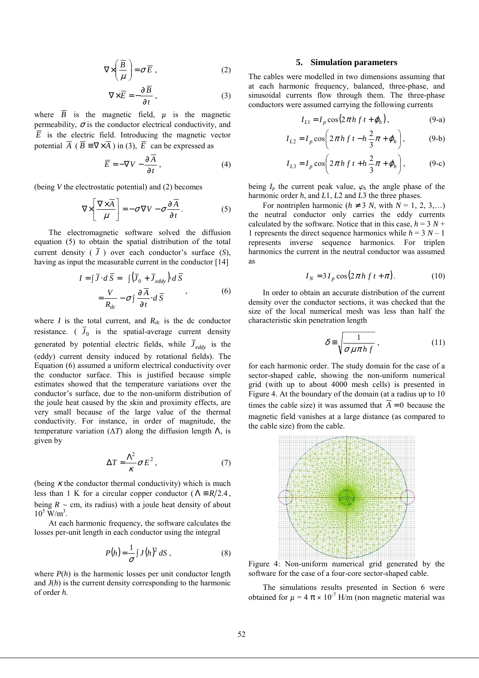$$
\nabla \times \left(\frac{\overline{B}}{\mu}\right) = \sigma \overline{E} \tag{2}
$$

$$
\nabla \times \overline{E} = -\frac{\partial \overline{B}}{\partial t},\qquad(3)
$$

where  $\overline{B}$  is the magnetic field,  $\mu$  is the magnetic permeability,  $\sigma$  is the conductor electrical conductivity, and  $\overline{E}$  is the electric field. Introducing the magnetic vector potential  $\overline{A}$  ( $\overline{B} = \nabla \times \overline{A}$ ) in (3),  $\overline{E}$  can be expressed as

$$
\overline{E} = -\nabla V - \frac{\partial A}{\partial t},\qquad(4)
$$

(being *V* the electrostatic potential) and (2) becomes

$$
\nabla \times \left[ \frac{\nabla \times \overline{A}}{\mu} \right] = -\sigma \nabla V - \sigma \frac{\partial \overline{A}}{\partial t}.
$$
 (5)

The electromagnetic software solved the diffusion equation (5) to obtain the spatial distribution of the total current density  $(\bar{J})$  over each conductor's surface  $(S)$ , having as input the measurable current in the conductor [14]

$$
I = \int \overline{J} \cdot d\overline{S} = \int (\overline{J}_0 + \overline{J}_{eddy}) \cdot d\overline{S}
$$
  
=  $\frac{V}{R_{dc}} - \sigma \int \frac{\partial \overline{A}}{\partial t} \cdot d\overline{S}$  (6)

where *I* is the total current, and  $R_{dc}$  is the dc conductor resistance. ( $J_0$  is the spatial-average current density generated by potential electric fields, while  $\bar{J}_{eddy}$  is the (eddy) current density induced by rotational fields). The Equation (6) assumed a uniform electrical conductivity over the conductor surface. This is justified because simple estimates showed that the temperature variations over the conductor's surface, due to the non-uniform distribution of the joule heat caused by the skin and proximity effects, are very small because of the large value of the thermal conductivity. For instance, in order of magnitude, the temperature variation  $(\Delta T)$  along the diffusion length  $\Lambda$ , is given by

$$
\Delta T \approx \frac{\Lambda^2}{\kappa} \sigma E^2, \qquad (7)
$$

(being  $\kappa$  the conductor thermal conductivity) which is much less than 1 K for a circular copper conductor ( $\Lambda = R/2.4$ , being  $R \sim$  cm, its radius) with a joule heat density of about  $10^5$  W/m<sup>3</sup>.

At each harmonic frequency, the software calculates the losses per-unit length in each conductor using the integral

$$
P(h) = \frac{1}{\sigma} \int J(h)^2 \, dS \,, \tag{8}
$$

where  $P(h)$  is the harmonic losses per unit conductor length and *J*(*h*) is the current density corresponding to the harmonic of order *h*.

# **5. Simulation parameters**

The cables were modelled in two dimensions assuming that at each harmonic frequency, balanced, three-phase, and sinusoidal currents flow through them. The three-phase conductors were assumed carrying the following currents

$$
I_{L1} = I_p \cos(2\pi h f t + \varphi_h), \qquad (9-a)
$$

$$
I_{L2} = I_p \cos \left( 2\pi h \, f \, t - h \, \frac{2}{3} \pi + \varphi_h \right), \tag{9-b}
$$

$$
I_{L3} = I_p \cos \left( 2\pi h \, f \, t + h \, \frac{2}{3} \pi + \varphi_h \right), \tag{9-c}
$$

being  $I_p$  the current peak value,  $\varphi_h$  the angle phase of the harmonic order *h*, and *L*1, *L*2 and *L*3 the three phases.

For nontriplen harmonic ( $h \neq 3$  *N*, with  $N = 1, 2, 3,...$ ) the neutral conductor only carries the eddy currents calculated by the software. Notice that in this case,  $h = 3 N +$ 1 represents the direct sequence harmonics while  $h = 3 N - 1$ represents inverse sequence harmonics. For triplen harmonics the current in the neutral conductor was assumed as

$$
I_N = 3I_p \cos(2\pi h f t + \pi).
$$
 (10)

In order to obtain an accurate distribution of the current density over the conductor sections, it was checked that the size of the local numerical mesh was less than half the characteristic skin penetration length

$$
\delta \equiv \sqrt{\frac{1}{\sigma \mu \pi h f}}\,,\tag{11}
$$

for each harmonic order. The study domain for the case of a sector-shaped cable, showing the non-uniform numerical grid (with up to about 4000 mesh cells) is presented in Figure 4. At the boundary of the domain (at a radius up to 10 times the cable size) it was assumed that  $\overline{A} = 0$  because the magnetic field vanishes at a large distance (as compared to the cable size) from the cable.



Figure 4: Non-uniform numerical grid generated by the software for the case of a four-core sector-shaped cable.

The simulations results presented in Section 6 were obtained for  $\mu = 4 \pi \times 10^{-7}$  H/m (non magnetic material was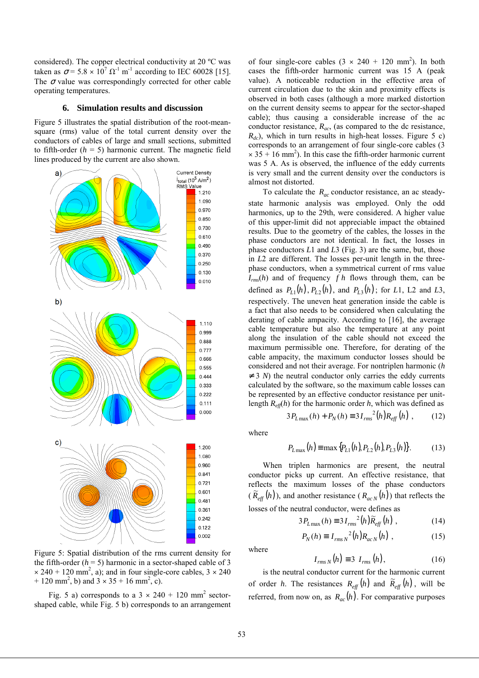considered). The copper electrical conductivity at 20 ºC was taken as  $\sigma$  = 5.8  $\times$  10<sup>7</sup>  $\Omega$ <sup>-1</sup> m<sup>-1</sup> according to IEC 60028 [15]. The  $\sigma$  value was correspondingly corrected for other cable operating temperatures.

#### **6. Simulation results and discussion**

Figure 5 illustrates the spatial distribution of the root-meansquare (rms) value of the total current density over the conductors of cables of large and small sections, submitted to fifth-order  $(h = 5)$  harmonic current. The magnetic field lines produced by the current are also shown.



Figure 5: Spatial distribution of the rms current density for the fifth-order  $(h = 5)$  harmonic in a sector-shaped cable of 3  $\times$  240 + 120 mm<sup>2</sup>, a); and in four single-core cables,  $3 \times 240$ + 120 mm<sup>2</sup>, b) and  $3 \times 35 + 16$  mm<sup>2</sup>, c).

Fig. 5 a) corresponds to a  $3 \times 240 + 120$  mm<sup>2</sup> sectorshaped cable, while Fig. 5 b) corresponds to an arrangement

of four single-core cables  $(3 \times 240 + 120 \text{ mm}^2)$ . In both cases the fifth-order harmonic current was 15 A (peak value). A noticeable reduction in the effective area of current circulation due to the skin and proximity effects is observed in both cases (although a more marked distortion on the current density seems to appear for the sector-shaped cable); thus causing a considerable increase of the ac conductor resistance, *Rac*, (as compared to the dc resistance,  $R_{dc}$ ), which in turn results in high-heat losses. Figure 5 c) corresponds to an arrangement of four single-core cables (3  $\times$  35 + 16 mm<sup>2</sup>). In this case the fifth-order harmonic current was 5 A. As is observed, the influence of the eddy currents is very small and the current density over the conductors is almost not distorted.

To calculate the *Rac* conductor resistance, an ac steadystate harmonic analysis was employed. Only the odd harmonics, up to the 29th, were considered. A higher value of this upper-limit did not appreciable impact the obtained results. Due to the geometry of the cables, the losses in the phase conductors are not identical. In fact, the losses in phase conductors *L*1 and *L*3 (Fig. 3) are the same, but, those in *L*2 are different. The losses per-unit length in the threephase conductors, when a symmetrical current of rms value  $I_{rms}(h)$  and of frequency  $fh$  flows through them, can be defined as  $P_{L1}(h)$ ,  $P_{L2}(h)$ , and  $P_{L3}(h)$ ; for *L*1, L2 and *L*3, respectively. The uneven heat generation inside the cable is a fact that also needs to be considered when calculating the derating of cable ampacity. According to [16], the average cable temperature but also the temperature at any point along the insulation of the cable should not exceed the maximum permissible one. Therefore, for derating of the cable ampacity, the maximum conductor losses should be considered and not their average. For nontriplen harmonic (*h*  $\neq$  3 *N*) the neutral conductor only carries the eddy currents calculated by the software, so the maximum cable losses can be represented by an effective conductor resistance per unitlength  $R_{\text{eff}}(h)$  for the harmonic order  $h$ , which was defined as

$$
3P_{L\max}(h) + P_N(h) \equiv 3I_{rms}^{2}(h)R_{eff}(h) , \qquad (12)
$$

where

$$
P_{L\max}(h) \equiv \max\{P_{L1}(h), P_{L2}(h), P_{L3}(h)\}.
$$
 (13)

When triplen harmonics are present, the neutral conductor picks up current. An effective resistance, that reflects the maximum losses of the phase conductors  $(\widetilde{R}_{\text{eff}}(h))$ , and another resistance  $(R_{acN}(h))$  that reflects the losses of the neutral conductor, were defines as

$$
3P_{L\max}(h) \equiv 3I_{rms}^{2}(h)\widetilde{R}_{eff}(h) , \qquad (14)
$$

$$
P_N(h) \equiv I_{rmsN}^{2}(h)R_{acN}(h) , \qquad (15)
$$

where

 $I_{rms N}(h) \equiv 3 I_{rms}(h),$  (16)

is the neutral conductor current for the harmonic current of order *h*. The resistances  $R_{\text{eff}}(h)$  and  $\tilde{R}_{\text{eff}}(h)$ , will be referred, from now on, as  $R_{ac}(h)$ . For comparative purposes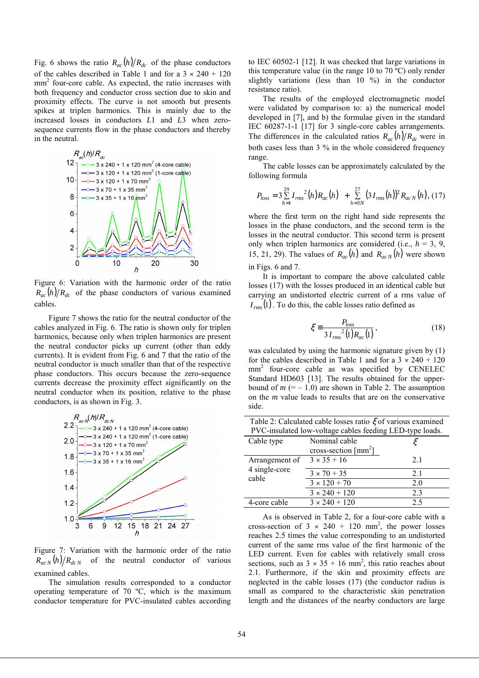Fig. 6 shows the ratio  $R_{ac}(h) / R_{dc}$  of the phase conductors of the cables described in Table 1 and for a  $3 \times 240 + 120$ mm<sup>2</sup> four-core cable. As expected, the ratio increases with both frequency and conductor cross section due to skin and proximity effects. The curve is not smooth but presents spikes at triplen harmonics. This is mainly due to the increased losses in conductors *L*1 and *L*3 when zerosequence currents flow in the phase conductors and thereby in the neutral.



Figure 6: Variation with the harmonic order of the ratio  $R_{ac}(h)/R_{dc}$  of the phase conductors of various examined cables.

Figure 7 shows the ratio for the neutral conductor of the cables analyzed in Fig. 6. The ratio is shown only for triplen harmonics, because only when triplen harmonics are present the neutral conductor picks up current (other than eddy currents). It is evident from Fig. 6 and 7 that the ratio of the neutral conductor is much smaller than that of the respective phase conductors. This occurs because the zero-sequence currents decrease the proximity effect significantly on the neutral conductor when its position, relative to the phase conductors, is as shown in Fig. 3.



Figure 7: Variation with the harmonic order of the ratio  $R_{acN}(h)/R_{dcN}$  of the neutral conductor of various examined cables.

The simulation results corresponded to a conductor operating temperature of 70 ºC, which is the maximum conductor temperature for PVC-insulated cables according to IEC 60502-1 [12]. It was checked that large variations in this temperature value (in the range 10 to 70 ºC) only render slightly variations (less than 10 %) in the conductor resistance ratio).

The results of the employed electromagnetic model were validated by comparison to: a) the numerical model developed in [7], and b) the formulae given in the standard IEC 60287-1-1 [17] for 3 single-core cables arrangements. The differences in the calculated ratios  $R_{ac}(h) / R_{dc}$  were in both cases less than 3 % in the whole considered frequency range.

The cable losses can be approximately calculated by the following formula

$$
P_{loss} = 3 \sum_{h=1}^{29} I_{rms}^{2}(h) R_{ac}(h) + \sum_{h=3N}^{27} (3 I_{rms}(h))^{2} R_{acN}(h), (17)
$$

where the first term on the right hand side represents the losses in the phase conductors, and the second term is the losses in the neutral conductor. This second term is present only when triplen harmonics are considered (i.e.,  $h = 3, 9$ , 15, 21, 29). The values of  $R_{ac}(h)$  and  $R_{acN}(h)$  were shown in Figs. 6 and 7.

It is important to compare the above calculated cable losses (17) with the losses produced in an identical cable but carrying an undistorted electric current of a rms value of  $I_{rms}(1)$ . To do this, the cable losses ratio defined as

$$
\xi = \frac{P_{loss}}{3I_{rms}^2(1)R_{ac}(1)},\tag{18}
$$

was calculated by using the harmonic signature given by (1) for the cables described in Table 1 and for a  $3 \times 240 + 120$ mm<sup>2</sup> four-core cable as was specified by CENELEC Standard HD603 [13]. The results obtained for the upperbound of  $m$  (=  $-1.0$ ) are shown in Table 2. The assumption on the *m* value leads to results that are on the conservative side.

| Table 2: Calculated cable losses ratio $\xi$ of various examined |                                           |     |  |  |  |
|------------------------------------------------------------------|-------------------------------------------|-----|--|--|--|
| PVC-insulated low-voltage cables feeding LED-type loads.         |                                           |     |  |  |  |
| Cable type                                                       | Nominal cable                             |     |  |  |  |
|                                                                  | cross-section $\lceil \text{mm}^2 \rceil$ |     |  |  |  |
| Arrangement of                                                   | $3 \times 35 + 16$                        | 21  |  |  |  |
| 4 single-core                                                    | $3 \times 70 + 35$                        | 2.1 |  |  |  |
| cable                                                            | $3 \times 120 + 70$                       | 2.0 |  |  |  |
|                                                                  | $3 \times 240 + 120$                      | 2.3 |  |  |  |
| 4-core cable                                                     | $3 \times 240 + 120$                      | 2.5 |  |  |  |

As is observed in Table 2, for a four-core cable with a cross-section of  $3 \times 240 + 120$  mm<sup>2</sup>, the power losses reaches 2.5 times the value corresponding to an undistorted current of the same rms value of the first harmonic of the LED current. Even for cables with relatively small cross sections, such as  $3 \times 35 + 16$  mm<sup>2</sup>, this ratio reaches about 2.1. Furthermore, if the skin and proximity effects are neglected in the cable losses (17) (the conductor radius is small as compared to the characteristic skin penetration length and the distances of the nearby conductors are large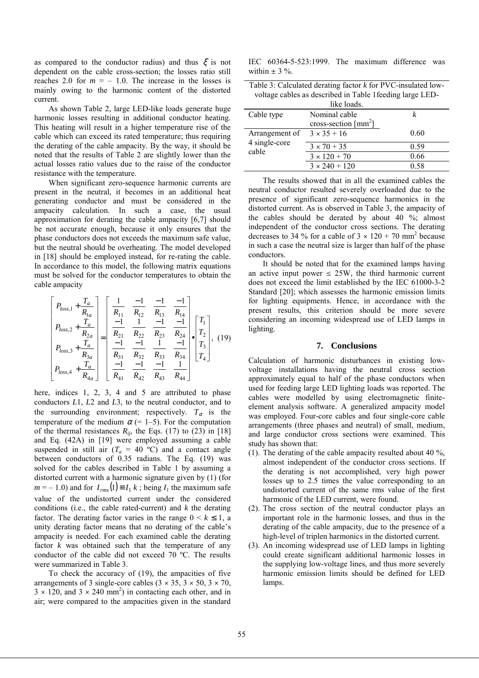as compared to the conductor radius) and thus  $\xi$  is not dependent on the cable cross-section; the losses ratio still reaches 2.0 for  $m = -1.0$ . The increase in the losses is mainly owing to the harmonic content of the distorted current.

As shown Table 2, large LED-like loads generate huge harmonic losses resulting in additional conductor heating. This heating will result in a higher temperature rise of the cable which can exceed its rated temperature; thus requiring the derating of the cable ampacity. By the way, it should be noted that the results of Table 2 are slightly lower than the actual losses ratio values due to the raise of the conductor resistance with the temperature.

When significant zero-sequence harmonic currents are present in the neutral, it becomes in an additional heat generating conductor and must be considered in the ampacity calculation. In such a case, the usual approximation for derating the cable ampacity [6,7] should be not accurate enough, because it only ensures that the phase conductors does not exceeds the maximum safe value, but the neutral should be overheating. The model developed in [18] should be employed instead, for re-rating the cable. In accordance to this model, the following matrix equations must be solved for the conductor temperatures to obtain the cable ampacity

$$
\begin{bmatrix}\nP_{loss,1} + \frac{T_a}{R_{1a}} \\
P_{loss,2} + \frac{T_a}{R_{2a}} \\
P_{loss,3} + \frac{T_a}{R_{3a}}\n\end{bmatrix} = \begin{bmatrix}\n\frac{1}{R_{11}} & \frac{-1}{R_{12}} & \frac{-1}{R_{13}} & \frac{-1}{R_{14}} \\
\frac{-1}{R_{21}} & \frac{1}{R_{22}} & \frac{-1}{R_{23}} & \frac{-1}{R_{24}} \\
\frac{-1}{R_{31}} & \frac{-1}{R_{32}} & \frac{1}{R_{33}} & \frac{-1}{R_{34}} \\
\frac{-1}{R_{41}} & \frac{-1}{R_{42}} & \frac{-1}{R_{43}} & \frac{1}{R_{44}}\n\end{bmatrix} \begin{bmatrix}\nT_1 \\
T_2 \\
T_3 \\
T_4\n\end{bmatrix}, (19)
$$

here, indices 1, 2, 3, 4 and 5 are attributed to phase conductors *L*1, *L*2 and *L*3, to the neutral conductor, and to the surrounding environment; respectively.  $T_\alpha$  is the temperature of the medium  $\alpha$  (= 1–5). For the computation of the thermal resistances  $R_{ij}$ , the Eqs. (17) to (23) in [18] and Eq. (42A) in [19] were employed assuming a cable suspended in still air  $(T_a = 40 \degree C)$  and a contact angle between conductors of 0.35 radians. The Eq. (19) was solved for the cables described in Table 1 by assuming a distorted current with a harmonic signature given by (1) (for  $m = -1.0$ ) and for  $I_{rms}(1) \equiv I_1 k$ ; being  $I_i$  the maximum safe value of the undistorted current under the considered conditions (i.e., the cable rated-current) and *k* the derating factor. The derating factor varies in the range  $0 \le k \le 1$ , a unity derating factor means that no derating of the cable's ampacity is needed. For each examined cable the derating factor *k* was obtained such that the temperature of any conductor of the cable did not exceed 70 ºC. The results were summarized in Table 3.

To check the accuracy of (19), the ampacities of five arrangements of 3 single-core cables  $(3 \times 35, 3 \times 50, 3 \times 70,$  $3 \times 120$ , and  $3 \times 240$  mm<sup>2</sup>) in contacting each other, and in air; were compared to the ampacities given in the standard

IEC 60364-5-523:1999. The maximum difference was within  $\pm$  3 %.

| Table 3: Calculated derating factor $k$ for PVC-insulated low-<br>voltage cables as described in Table 1 feeding large LED-<br>like loads. |                                                 |      |  |  |
|--------------------------------------------------------------------------------------------------------------------------------------------|-------------------------------------------------|------|--|--|
| Cable type                                                                                                                                 | Nominal cable                                   | k    |  |  |
|                                                                                                                                            | cross-section $\lceil$ mm <sup>2</sup> $\rceil$ |      |  |  |
| Arrangement of                                                                                                                             | $3 \times 35 + 16$                              | 0.60 |  |  |
| 4 single-core<br>cable                                                                                                                     | $3 \times 70 + 35$                              | 0.59 |  |  |
|                                                                                                                                            | $3 \times 120 + 70$                             | 0.66 |  |  |
|                                                                                                                                            | $3 \times 240 + 120$                            | 0.58 |  |  |

The results showed that in all the examined cables the neutral conductor resulted severely overloaded due to the presence of significant zero-sequence harmonics in the distorted current. As is observed in Table 3, the ampacity of the cables should be derated by about 40 %; almost independent of the conductor cross sections. The derating decreases to 34 % for a cable of  $3 \times 120 + 70$  mm<sup>2</sup> because in such a case the neutral size is larger than half of the phase conductors.

It should be noted that for the examined lamps having an active input power  $\leq$  25W, the third harmonic current does not exceed the limit established by the IEC 61000-3-2 Standard [20]; which assesses the harmonic emission limits for lighting equipments. Hence, in accordance with the present results, this criterion should be more severe considering an incoming widespread use of LED lamps in lighting.

#### **7. Conclusions**

Calculation of harmonic disturbances in existing lowvoltage installations having the neutral cross section approximately equal to half of the phase conductors when used for feeding large LED lighting loads was reported. The cables were modelled by using electromagnetic finiteelement analysis software. A generalized ampacity model was employed. Four-core cables and four single-core cable arrangements (three phases and neutral) of small, medium, and large conductor cross sections were examined. This study has shown that:

- (1). The derating of the cable ampacity resulted about 40 %, almost independent of the conductor cross sections. If the derating is not accomplished, very high power losses up to 2.5 times the value corresponding to an undistorted current of the same rms value of the first harmonic of the LED current, were found.
- (2). The cross section of the neutral conductor plays an important role in the harmonic losses, and thus in the derating of the cable ampacity, due to the presence of a high-level of triplen harmonics in the distorted current.
- (3). An incoming widespread use of LED lamps in lighting could create significant additional harmonic losses in the supplying low-voltage lines, and thus more severely harmonic emission limits should be defined for LED lamps.